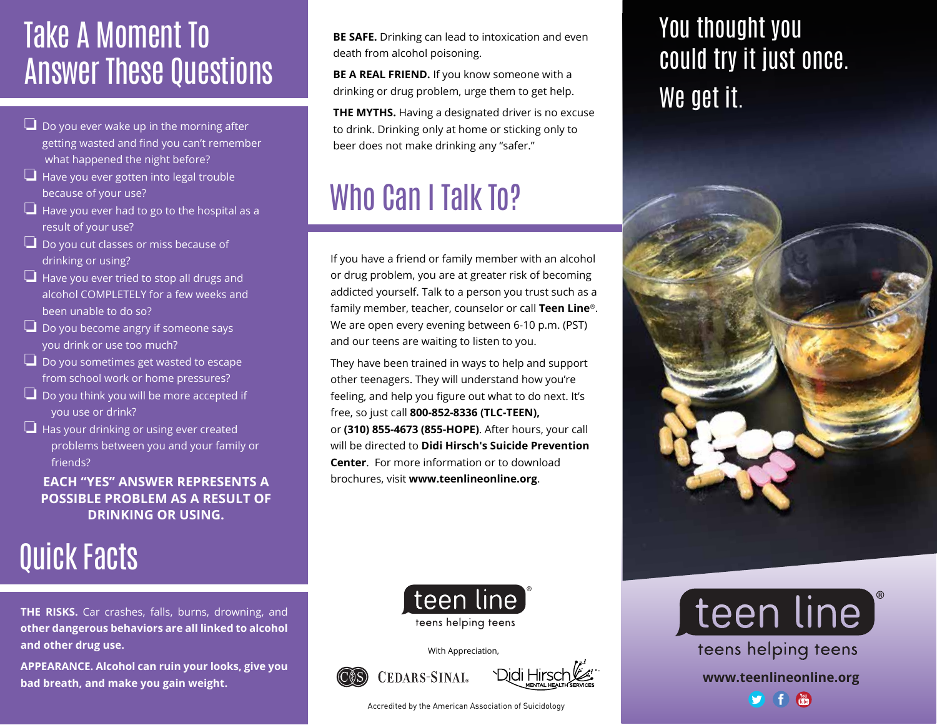### Take A Moment To Answer These Questions

- $\Box$  Do you ever wake up in the morning after getting wasted and find you can't remember what happened the night before?
- ❏ Have you ever gotten into legal trouble because of your use?
- ❏ Have you ever had to go to the hospital as a result of your use?
- $\Box$  Do you cut classes or miss because of drinking or using?
- ❏ Have you ever tried to stop all drugs and alcohol COMPLETELY for a few weeks and been unable to do so?
- ❏ Do you become angry if someone says you drink or use too much?
- ❏ Do you sometimes get wasted to escape from school work or home pressures?
- ❏ Do you think you will be more accepted if you use or drink?
- $\Box$  Has your drinking or using ever created problems between you and your family or friends?

### **EACH "YES" ANSWER REPRESENTS A POSSIBLE PROBLEM AS A RESULT OF DRINKING OR USING.**

### Quick Facts

**THE RISKS.** Car crashes, falls, burns, drowning, and **other dangerous behaviors are all linked to alcohol and other drug use.** 

**APPEARANCE. Alcohol can ruin your looks, give you bad breath, and make you gain weight.** 

**BE SAFE.** Drinking can lead to intoxication and even death from alcohol poisoning.

**BE A REAL FRIEND.** If you know someone with a drinking or drug problem, urge them to get help.

**THE MYTHS.** Having a designated driver is no excuse to drink. Drinking only at home or sticking only to beer does not make drinking any "safer."

## Who Can I Talk To?

If you have a friend or family member with an alcohol or drug problem, you are at greater risk of becoming addicted yourself. Talk to a person you trust such as a family member, teacher, counselor or call **Teen Line**®. We are open every evening between 6-10 p.m. (PST) and our teens are waiting to listen to you.

They have been trained in ways to help and support other teenagers. They will understand how you're feeling, and help you figure out what to do next. It's free, so just call **800-852-8336 (TLC-TEEN),** or **(310) 855-4673 (855-HOPE)**. After hours, your call will be directed to **Didi Hirsch's Suicide Prevention Center**. For more information or to download brochures, visit **www.teenlineonline.org**.



With Appreciation,





Accredited by the American Association of Suicidology

### You thought you could try it just once. We get it.